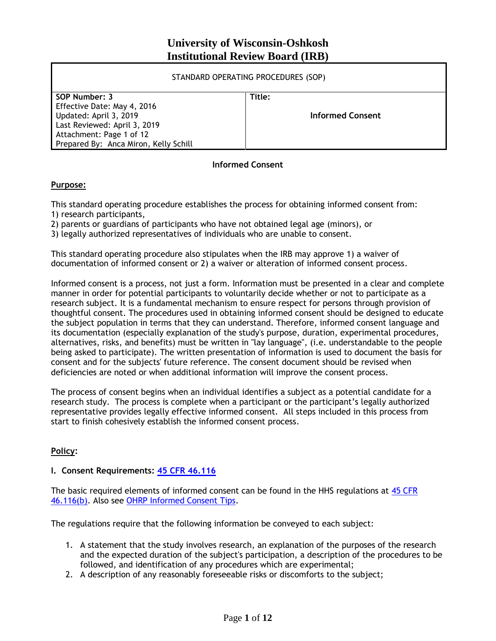# **University of Wisconsin-Oshkosh Institutional Review Board (IRB)**

| STANDARD OPERATING PROCEDURES (SOP)                                                                                                                                         |                            |
|-----------------------------------------------------------------------------------------------------------------------------------------------------------------------------|----------------------------|
| SOP Number: 3<br>Effective Date: May 4, 2016<br>Updated: April 3, 2019<br>Last Reviewed: April 3, 2019<br>Attachment: Page 1 of 12<br>Prepared By: Anca Miron, Kelly Schill | Title:<br>Informed Consent |

### **Informed Consent**

### **Purpose:**

This standard operating procedure establishes the process for obtaining informed consent from: 1) research participants,

2) parents or guardians of participants who have not obtained legal age (minors), or

3) legally authorized representatives of individuals who are unable to consent.

This standard operating procedure also stipulates when the IRB may approve 1) a waiver of documentation of informed consent or 2) a waiver or alteration of informed consent process.

Informed consent is a process, not just a form. Information must be presented in a clear and complete manner in order for potential participants to voluntarily decide whether or not to participate as a research subject. It is a fundamental mechanism to ensure respect for persons through provision of thoughtful consent. The procedures used in obtaining informed consent should be designed to educate the subject population in terms that they can understand. Therefore, informed consent language and its documentation (especially explanation of the study's purpose, duration, experimental procedures, alternatives, risks, and benefits) must be written in "lay language", (i.e. understandable to the people being asked to participate). The written presentation of information is used to document the basis for consent and for the subjects' future reference. The consent document should be revised when deficiencies are noted or when additional information will improve the consent process.

The process of consent begins when an individual identifies a subject as a potential candidate for a research study. The process is complete when a participant or the participant's legally authorized representative provides legally effective informed consent. All steps included in this process from start to finish cohesively establish the informed consent process.

### **Policy:**

### **I. Consent Requirements: [45 CFR 46.116](https://www.law.cornell.edu/cfr/text/45/46.116)**

The basic required elements of informed consent can be found in the HHS regulations at [45 CFR](http://www.hhs.gov/ohrp/regulations-and-policy/regulations/45-cfr-46/index.html#46.116)  [46.116\(b\).](http://www.hhs.gov/ohrp/regulations-and-policy/regulations/45-cfr-46/index.html#46.116) Also see [OHRP Informed Consent Tips.](http://www.hhs.gov/ohrp/regulations-and-policy/guidance/informed-consent-tips/index.html)

The regulations require that the following information be conveyed to each subject:

- 1. A statement that the study involves research, an explanation of the purposes of the research and the expected duration of the subject's participation, a description of the procedures to be followed, and identification of any procedures which are experimental;
- 2. A description of any reasonably foreseeable risks or discomforts to the subject;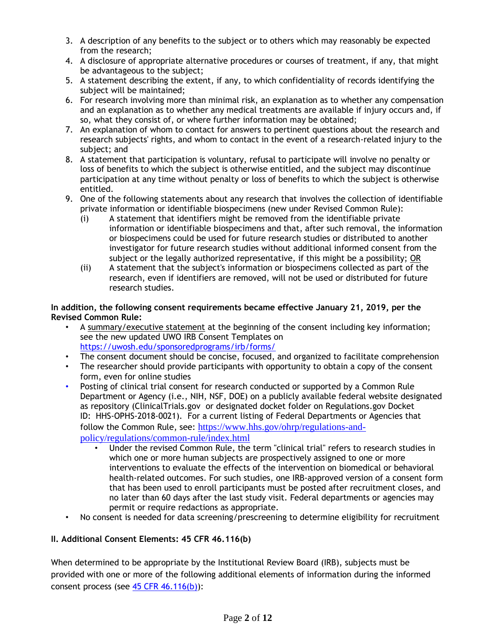- 3. A description of any benefits to the subject or to others which may reasonably be expected from the research;
- 4. A disclosure of appropriate alternative procedures or courses of treatment, if any, that might be advantageous to the subject;
- 5. A statement describing the extent, if any, to which confidentiality of records identifying the subject will be maintained;
- 6. For research involving more than minimal risk, an explanation as to whether any compensation and an explanation as to whether any medical treatments are available if injury occurs and, if so, what they consist of, or where further information may be obtained;
- 7. An explanation of whom to contact for answers to pertinent questions about the research and research subjects' rights, and whom to contact in the event of a research-related injury to the subject; and
- 8. A statement that participation is voluntary, refusal to participate will involve no penalty or loss of benefits to which the subject is otherwise entitled, and the subject may discontinue participation at any time without penalty or loss of benefits to which the subject is otherwise entitled.
- 9. One of the following statements about any research that involves the collection of identifiable private information or identifiable biospecimens (new under Revised Common Rule):
	- (i) A statement that identifiers might be removed from the identifiable private information or identifiable biospecimens and that, after such removal, the information or biospecimens could be used for future research studies or distributed to another investigator for future research studies without additional informed consent from the subject or the legally authorized representative, if this might be a possibility; OR
	- (ii) A statement that the subject's information or biospecimens collected as part of the research, even if identifiers are removed, will not be used or distributed for future research studies.

#### **In addition, the following consent requirements became effective January 21, 2019, per the Revised Common Rule:**

- A summary/executive statement at the beginning of the consent including key information; see the new updated UWO IRB Consent Templates on <https://uwosh.edu/sponsoredprograms/irb/forms/>
- The consent document should be concise, focused, and organized to facilitate comprehension
- The researcher should provide participants with opportunity to obtain a copy of the consent form, even for online studies
- Posting of clinical trial consent for research conducted or supported by a Common Rule Department or Agency (i.e., NIH, NSF, DOE) on a publicly available federal website designated as repository (ClinicalTrials.gov or designated docket folder on Regulations.gov Docket ID: HHS-OPHS-2018-0021). For a current listing of Federal Departments or Agencies that follow the Common Rule, see: [https://www.hhs.gov/ohrp/regulations-and](https://www.hhs.gov/ohrp/regulations-and-policy/regulations/common-rule/index.html)[policy/regulations/common-rule/index.html](https://www.hhs.gov/ohrp/regulations-and-policy/regulations/common-rule/index.html)
	- Under the revised Common Rule, the term "clinical trial" refers to research studies in which one or more human subjects are prospectively assigned to one or more interventions to evaluate the effects of the intervention on biomedical or behavioral health-related outcomes. For such studies, one IRB-approved version of a consent form that has been used to enroll participants must be posted after recruitment closes, and no later than 60 days after the last study visit. Federal departments or agencies may permit or require redactions as appropriate.
- No consent is needed for data screening/prescreening to determine eligibility for recruitment

# **II. Additional Consent Elements: 45 CFR 46.116(b)**

When determined to be appropriate by the Institutional Review Board (IRB), subjects must be provided with one or more of the following additional elements of information during the informed consent process (see  $\frac{45}{15}$  CFR 46.116(b)):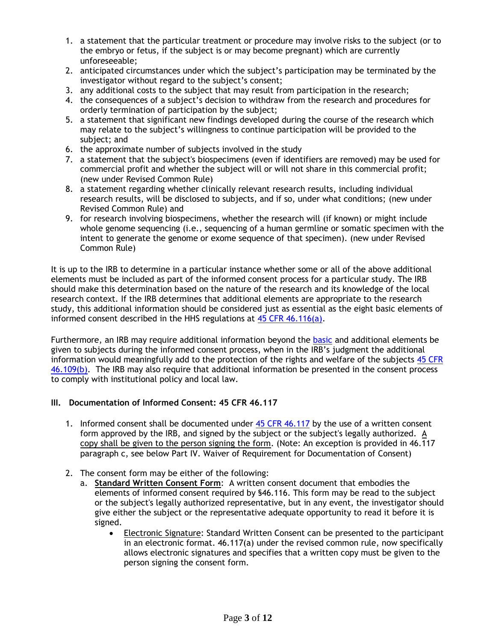- 1. a statement that the particular treatment or procedure may involve risks to the subject (or to the embryo or fetus, if the subject is or may become pregnant) which are currently unforeseeable;
- 2. anticipated circumstances under which the subject's participation may be terminated by the investigator without regard to the subject's consent;
- 3. any additional costs to the subject that may result from participation in the research;
- 4. the consequences of a subject's decision to withdraw from the research and procedures for orderly termination of participation by the subject;
- 5. a statement that significant new findings developed during the course of the research which may relate to the subject's willingness to continue participation will be provided to the subject; and
- 6. the approximate number of subjects involved in the study
- 7. a statement that the subject's biospecimens (even if identifiers are removed) may be used for commercial profit and whether the subject will or will not share in this commercial profit; (new under Revised Common Rule)
- 8. a statement regarding whether clinically relevant research results, including individual research results, will be disclosed to subjects, and if so, under what conditions; (new under Revised Common Rule) and
- 9. for research involving biospecimens, whether the research will (if known) or might include whole genome sequencing (i.e., sequencing of a human germline or somatic specimen with the intent to generate the genome or exome sequence of that specimen). (new under Revised Common Rule)

It is up to the IRB to determine in a particular instance whether some or all of the above additional elements must be included as part of the informed consent process for a particular study. The IRB should make this determination based on the nature of the research and its knowledge of the local research context. If the IRB determines that additional elements are appropriate to the research study, this additional information should be considered just as essential as the eight basic elements of informed consent described in the HHS regulations at  $45$  CFR  $46.116(a)$ .

Furthermore, an IRB may require additional information beyond the [basic](http://www.hhs.gov/ohrp/regulations-and-policy/guidance/faq/basic-elements-of-informed-consent/index.html) and additional elements be given to subjects during the informed consent process, when in the IRB's judgment the additional information would meaningfully add to the protection of the rights and welfare of the subjects [45 CFR](http://www.hhs.gov/ohrp/regulations-and-policy/regulations/45-cfr-46/index.html#46.109)  [46.109\(b\).](http://www.hhs.gov/ohrp/regulations-and-policy/regulations/45-cfr-46/index.html#46.109) The IRB may also require that additional information be presented in the consent process to comply with institutional policy and local law.

# **III. Documentation of Informed Consent: 45 CFR 46.117**

- 1. Informed consent shall be documented under [45 CFR 46.117](http://www.hhs.gov/ohrp/regulations-and-policy/regulations/45-cfr-46/index.html#46.117) by the use of a written consent form approved by the IRB, and signed by the subject or the subject's legally authorized. A copy shall be given to the person signing the form. (Note: An exception is provided in 46.117 paragraph c, see below Part IV. Waiver of Requirement for Documentation of Consent)
- 2. The consent form may be either of the following:
	- a. **Standard Written Consent Form**: A written consent document that embodies the elements of informed consent required by §46.116. This form may be read to the subject or the subject's legally authorized representative, but in any event, the investigator should give either the subject or the representative adequate opportunity to read it before it is signed.
		- Electronic Signature: Standard Written Consent can be presented to the participant in an electronic format. 46.117(a) under the revised common rule, now specifically allows electronic signatures and specifies that a written copy must be given to the person signing the consent form.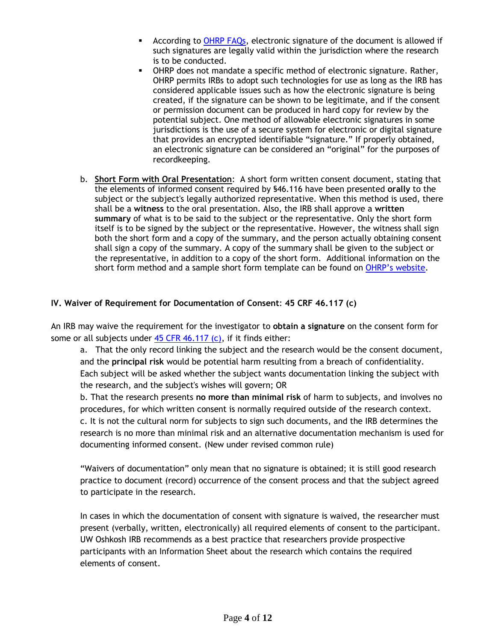- **According to [OHRP FAQs,](https://www.hhs.gov/ohrp/regulations-and-policy/guidance/faq/informed-consent/index.html) electronic signature of the document is allowed if** such signatures are legally valid within the jurisdiction where the research is to be conducted.
- OHRP does not mandate a specific method of electronic signature. Rather, OHRP permits IRBs to adopt such technologies for use as long as the IRB has considered applicable issues such as how the electronic signature is being created, if the signature can be shown to be legitimate, and if the consent or permission document can be produced in hard copy for review by the potential subject. One method of allowable electronic signatures in some jurisdictions is the use of a secure system for electronic or digital signature that provides an encrypted identifiable "signature." If properly obtained, an electronic signature can be considered an "original" for the purposes of recordkeeping.
- b. **Short Form with Oral Presentation**: A short form written consent document, stating that the elements of informed consent required by §46.116 have been presented **orally** to the subject or the subject's legally authorized representative. When this method is used, there shall be a **witness** to the oral presentation. Also, the IRB shall approve a **written summary** of what is to be said to the subject or the representative. Only the short form itself is to be signed by the subject or the representative. However, the witness shall sign both the short form and a copy of the summary, and the person actually obtaining consent shall sign a copy of the summary. A copy of the summary shall be given to the subject or the representative, in addition to a copy of the short form. Additional information on the short form method and a sample short form template can be found on [OHRP's website](https://www.hhs.gov/ohrp/regulations-and-policy/guidance/obtaining-and-documenting-infomed-consent-non-english-speakers/index.html).

### **IV. Waiver of Requirement for Documentation of Consent**: **45 CRF 46.117 (c)**

An IRB may waive the requirement for the investigator to **obtain a signature** on the consent form for some or all subjects under  $45$  CFR  $46.117$  (c), if it finds either:

a. That the only record linking the subject and the research would be the consent document, and the **principal risk** would be potential harm resulting from a breach of confidentiality. Each subject will be asked whether the subject wants documentation linking the subject with the research, and the subject's wishes will govern; OR

b. That the research presents **no more than minimal risk** of harm to subjects, and involves no procedures, for which written consent is normally required outside of the research context. c. It is not the cultural norm for subjects to sign such documents, and the IRB determines the research is no more than minimal risk and an alternative documentation mechanism is used for documenting informed consent. (New under revised common rule)

"Waivers of documentation" only mean that no signature is obtained; it is still good research practice to document (record) occurrence of the consent process and that the subject agreed to participate in the research.

In cases in which the documentation of consent with signature is waived, the researcher must present (verbally, written, electronically) all required elements of consent to the participant. UW Oshkosh IRB recommends as a best practice that researchers provide prospective participants with an Information Sheet about the research which contains the required elements of consent.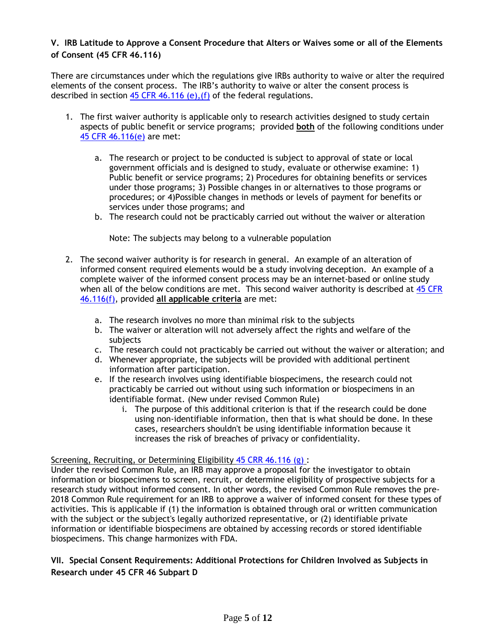### **V. IRB Latitude to Approve a Consent Procedure that Alters or Waives some or all of the Elements of Consent (45 CFR 46.116)**

There are circumstances under which the regulations give IRBs authority to waive or alter the required elements of the consent process. The IRB's authority to waive or alter the consent process is described in section  $45$  CFR 46.116 (e), (f) of the federal regulations.

- 1. The first waiver authority is applicable only to research activities designed to study certain aspects of public benefit or service programs; provided **both** of the following conditions under [45 CFR 46.116\(e\)](http://www.hhs.gov/ohrp/humansubjects/guidance/45cfr46.html#46.116) are met:
	- a. The research or project to be conducted is subject to approval of state or local government officials and is designed to study, evaluate or otherwise examine: 1) Public benefit or service programs; 2) Procedures for obtaining benefits or services under those programs; 3) Possible changes in or alternatives to those programs or procedures; or 4)Possible changes in methods or levels of payment for benefits or services under those programs; and
	- b. The research could not be practicably carried out without the waiver or alteration

Note: The subjects may belong to a vulnerable population

- 2. The second waiver authority is for research in general. An example of an alteration of informed consent required elements would be a study involving deception. An example of a complete waiver of the informed consent process may be an internet-based or online study when all of the below conditions are met. This second waiver authority is described at [45 CFR](http://www.hhs.gov/ohrp/humansubjects/guidance/45cfr46.html#46.116)  [46.116\(f\),](http://www.hhs.gov/ohrp/humansubjects/guidance/45cfr46.html#46.116) provided **all applicable criteria** are met:
	- a. The research involves no more than minimal risk to the subjects
	- b. The waiver or alteration will not adversely affect the rights and welfare of the subjects
	- c. The research could not practicably be carried out without the waiver or alteration; and
	- d. Whenever appropriate, the subjects will be provided with additional pertinent information after participation.
	- e. If the research involves using identifiable biospecimens, the research could not practicably be carried out without using such information or biospecimens in an identifiable format. (New under revised Common Rule)
		- i. The purpose of this additional criterion is that if the research could be done using non-identifiable information, then that is what should be done. In these cases, researchers shouldn't be using identifiable information because it increases the risk of breaches of privacy or confidentiality.

#### Screening, Recruiting, or Determining Eligibility [45 CRR 46.116 \(g\)](https://www.law.cornell.edu/cfr/text/45/46.116) :

Under the revised Common Rule, an IRB may approve a proposal for the investigator to obtain information or biospecimens to screen, recruit, or determine eligibility of prospective subjects for a research study without informed consent. In other words, the revised Common Rule removes the pre-2018 Common Rule requirement for an IRB to approve a waiver of informed consent for these types of activities. This is applicable if (1) the information is obtained through oral or written communication with the subject or the subject's legally authorized representative, or (2) identifiable private information or identifiable biospecimens are obtained by accessing records or stored identifiable biospecimens. This change harmonizes with FDA.

# **VII. Special Consent Requirements: Additional Protections for Children Involved as Subjects in Research under 45 CFR 46 Subpart D**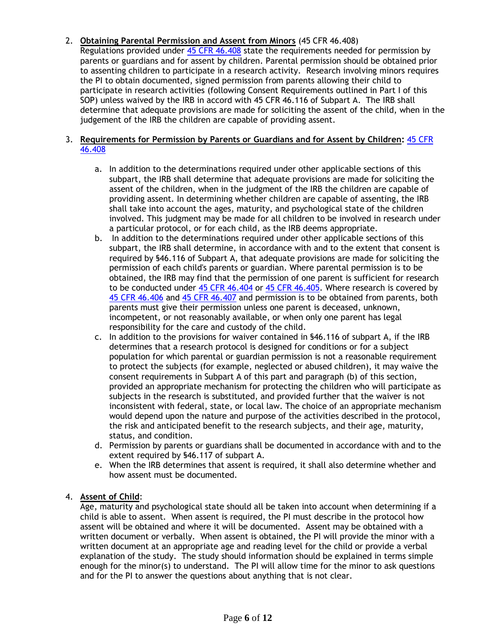# 2. **Obtaining Parental Permission and Assent from Minors** (45 CFR 46.408)

Regulations provided under [45 CFR 46.408](http://www.hhs.gov/ohrp/regulations-and-policy/regulations/45-cfr-46/index.html#46.408) state the requirements needed for permission by parents or guardians and for assent by children. Parental permission should be obtained prior to assenting children to participate in a research activity. Research involving minors requires the PI to obtain documented, signed permission from parents allowing their child to participate in research activities (following Consent Requirements outlined in Part I of this SOP) unless waived by the IRB in accord with 45 CFR 46.116 of Subpart A. The IRB shall determine that adequate provisions are made for soliciting the assent of the child, when in the judgement of the IRB the children are capable of providing assent.

#### 3. **Requirements for Permission by Parents or Guardians and for Assent by Children:** [45 CFR](http://www.hhs.gov/ohrp/regulations-and-policy/regulations/45-cfr-46/index.html#46.408)  [46.408](http://www.hhs.gov/ohrp/regulations-and-policy/regulations/45-cfr-46/index.html#46.408)

- a. In addition to the determinations required under other applicable sections of this subpart, the IRB shall determine that adequate provisions are made for soliciting the assent of the children, when in the judgment of the IRB the children are capable of providing assent. In determining whether children are capable of assenting, the IRB shall take into account the ages, maturity, and psychological state of the children involved. This judgment may be made for all children to be involved in research under a particular protocol, or for each child, as the IRB deems appropriate.
- b. In addition to the determinations required under other applicable sections of this subpart, the IRB shall determine, in accordance with and to the extent that consent is required by §46.116 of Subpart A, that adequate provisions are made for soliciting the permission of each child's parents or guardian. Where parental permission is to be obtained, the IRB may find that the permission of one parent is sufficient for research to be conducted under [45 CFR 46.404](http://www.hhs.gov/ohrp/code-federal-regulations.html#46.404) or [45 CFR 46.405.](http://www.hhs.gov/ohrp/code-federal-regulations.html#46.405) Where research is covered by [45 CFR 46.406](http://www.hhs.gov/ohrp/code-federal-regulations.html#46.406) and [45 CFR 46.407](http://www.hhs.gov/ohrp/code-federal-regulations.html#46.407) and permission is to be obtained from parents, both parents must give their permission unless one parent is deceased, unknown, incompetent, or not reasonably available, or when only one parent has legal responsibility for the care and custody of the child.
- c. In addition to the provisions for waiver contained in §46.116 of subpart A, if the IRB determines that a research protocol is designed for conditions or for a subject population for which parental or guardian permission is not a reasonable requirement to protect the subjects (for example, neglected or abused children), it may waive the consent requirements in Subpart A of this part and paragraph (b) of this section, provided an appropriate mechanism for protecting the children who will participate as subjects in the research is substituted, and provided further that the waiver is not inconsistent with federal, state, or local law. The choice of an appropriate mechanism would depend upon the nature and purpose of the activities described in the protocol, the risk and anticipated benefit to the research subjects, and their age, maturity, status, and condition.
- d. Permission by parents or guardians shall be documented in accordance with and to the extent required by §46.117 of subpart A.
- e. When the IRB determines that assent is required, it shall also determine whether and how assent must be documented.

### 4. **Assent of Child**:

Age, maturity and psychological state should all be taken into account when determining if a child is able to assent. When assent is required, the PI must describe in the protocol how assent will be obtained and where it will be documented. Assent may be obtained with a written document or verbally. When assent is obtained, the PI will provide the minor with a written document at an appropriate age and reading level for the child or provide a verbal explanation of the study. The study should information should be explained in terms simple enough for the minor(s) to understand. The PI will allow time for the minor to ask questions and for the PI to answer the questions about anything that is not clear.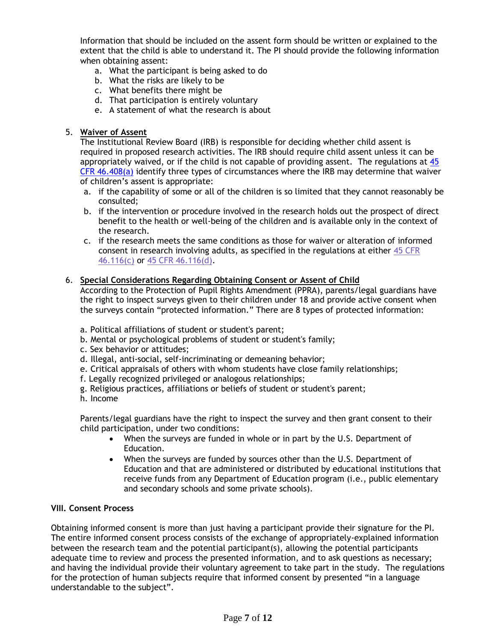Information that should be included on the assent form should be written or explained to the extent that the child is able to understand it. The PI should provide the following information when obtaining assent:

- a. What the participant is being asked to do
- b. What the risks are likely to be
- c. What benefits there might be
- d. That participation is entirely voluntary
- e. A statement of what the research is about

#### 5. **Waiver of Assent**

The Institutional Review Board (IRB) is responsible for deciding whether child assent is required in proposed research activities. The IRB should require child assent unless it can be appropriately waived, or if the child is not capable of providing assent. The regulations at [45](http://www.hhs.gov/ohrp/regulations-and-policy/regulations/45-cfr-46/index.html#46.408)   $CFR$  46.408(a) identify three types of circumstances where the IRB may determine that waiver of children's assent is appropriate:

- a. if the capability of some or all of the children is so limited that they cannot reasonably be consulted;
- b. if the intervention or procedure involved in the research holds out the prospect of direct benefit to the health or well-being of the children and is available only in the context of the research.
- c. if the research meets the same conditions as those for waiver or alteration of informed consent in research involving adults, as specified in the regulations at either [45 CFR](http://www.hhs.gov/ohrp/regulations-and-policy/regulations/45-cfr-46/index.html#46.116(c))  [46.116\(c\)](http://www.hhs.gov/ohrp/regulations-and-policy/regulations/45-cfr-46/index.html#46.116(c)) or [45 CFR 46.116\(d\).](http://www.hhs.gov/ohrp/regulations-and-policy/regulations/45-cfr-46/index.html#46.116(d))

#### 6. **Special Considerations Regarding Obtaining Consent or Assent of Child**

According to the Protection of Pupil Rights Amendment (PPRA), parents/legal guardians have the right to inspect surveys given to their children under 18 and provide active consent when the surveys contain "protected information." There are 8 types of protected information:

- a. Political affiliations of student or student's parent;
- b. Mental or psychological problems of student or student's family;
- c. Sex behavior or attitudes;
- d. Illegal, anti-social, self-incriminating or demeaning behavior;
- e. Critical appraisals of others with whom students have close family relationships;
- f. Legally recognized privileged or analogous relationships;
- g. Religious practices, affiliations or beliefs of student or student's parent;
- h. Income

Parents/legal guardians have the right to inspect the survey and then grant consent to their child participation, under two conditions:

- When the surveys are funded in whole or in part by the U.S. Department of Education.
- When the surveys are funded by sources other than the U.S. Department of Education and that are administered or distributed by educational institutions that receive funds from any Department of Education program (i.e., public elementary and secondary schools and some private schools).

#### **VIII. Consent Process**

Obtaining informed consent is more than just having a participant provide their signature for the PI. The entire informed consent process consists of the exchange of appropriately-explained information between the research team and the potential participant(s), allowing the potential participants adequate time to review and process the presented information, and to ask questions as necessary; and having the individual provide their voluntary agreement to take part in the study. The regulations for the protection of human subjects require that informed consent by presented "in a language understandable to the subject".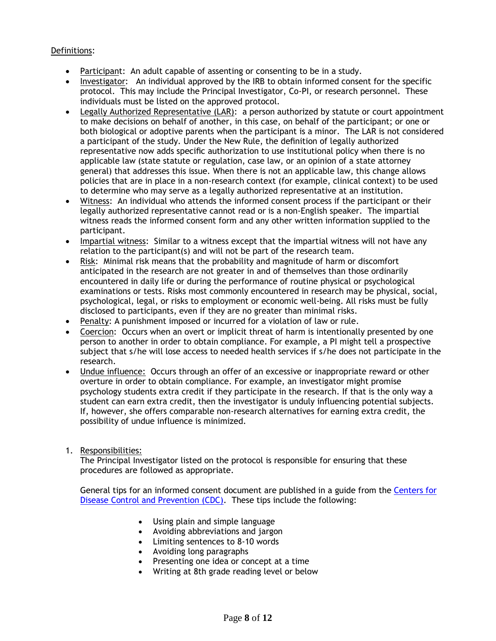# Definitions:

- Participant: An adult capable of assenting or consenting to be in a study.
- Investigator: An individual approved by the IRB to obtain informed consent for the specific protocol. This may include the Principal Investigator, Co-PI, or research personnel. These individuals must be listed on the approved protocol.
- Legally Authorized Representative (LAR): a person authorized by statute or court appointment to make decisions on behalf of another, in this case, on behalf of the participant; or one or both biological or adoptive parents when the participant is a minor. The LAR is not considered a participant of the study. Under the New Rule, the definition of legally authorized representative now adds specific authorization to use institutional policy when there is no applicable law (state statute or regulation, case law, or an opinion of a state attorney general) that addresses this issue. When there is not an applicable law, this change allows policies that are in place in a non-research context (for example, clinical context) to be used to determine who may serve as a legally authorized representative at an institution.
- Witness: An individual who attends the informed consent process if the participant or their legally authorized representative cannot read or is a non-English speaker. The impartial witness reads the informed consent form and any other written information supplied to the participant.
- Impartial witness: Similar to a witness except that the impartial witness will not have any relation to the participant(s) and will not be part of the research team.
- Risk: Minimal risk means that the probability and magnitude of harm or discomfort anticipated in the research are not greater in and of themselves than those ordinarily encountered in daily life or during the performance of routine physical or psychological examinations or tests. Risks most commonly encountered in research may be physical, social, psychological, legal, or risks to employment or economic well-being. All risks must be fully disclosed to participants, even if they are no greater than minimal risks.
- Penalty: A punishment imposed or incurred for a violation of law or rule.
- Coercion: Occurs when an overt or implicit threat of harm is intentionally presented by one person to another in order to obtain compliance. For example, a PI might tell a prospective subject that s/he will lose access to needed health services if s/he does not participate in the research.
- Undue influence: Occurs through an offer of an excessive or inappropriate reward or other overture in order to obtain compliance. For example, an investigator might promise psychology students extra credit if they participate in the research. If that is the only way a student can earn extra credit, then the investigator is unduly influencing potential subjects. If, however, she offers comparable non-research alternatives for earning extra credit, the possibility of undue influence is minimized.
- 1. Responsibilities:

The Principal Investigator listed on the protocol is responsible for ensuring that these procedures are followed as appropriate.

General tips for an informed consent document are published in a guide from the [Centers for](http://stacks.cdc.gov/view/cdc/12420/)  [Disease Control and Prevention \(CDC\).](http://stacks.cdc.gov/view/cdc/12420/) These tips include the following:

- Using plain and simple language
- Avoiding abbreviations and jargon
- Limiting sentences to 8-10 words
- Avoiding long paragraphs
- Presenting one idea or concept at a time
- Writing at 8th grade reading level or below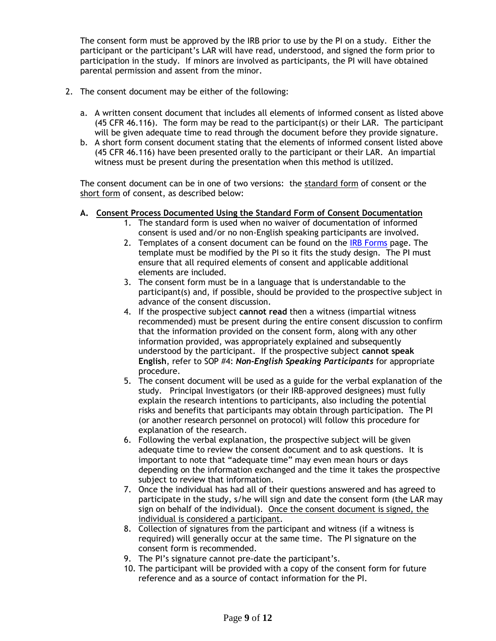The consent form must be approved by the IRB prior to use by the PI on a study. Either the participant or the participant's LAR will have read, understood, and signed the form prior to participation in the study. If minors are involved as participants, the PI will have obtained parental permission and assent from the minor.

- 2. The consent document may be either of the following:
	- a. A written consent document that includes all elements of informed consent as listed above (45 CFR 46.116). The form may be read to the participant(s) or their LAR. The participant will be given adequate time to read through the document before they provide signature.
	- b. A short form consent document stating that the elements of informed consent listed above (45 CFR 46.116) have been presented orally to the participant or their LAR. An impartial witness must be present during the presentation when this method is utilized.

The consent document can be in one of two versions: the standard form of consent or the short form of consent, as described below:

- **A. Consent Process Documented Using the Standard Form of Consent Documentation**
	- 1. The standard form is used when no waiver of documentation of informed consent is used and/or no non-English speaking participants are involved.
		- 2. Templates of a consent document can be found on the [IRB Forms](https://uwosh.edu/sponsoredprograms/irb/forms/) page. The template must be modified by the PI so it fits the study design. The PI must ensure that all required elements of consent and applicable additional elements are included.
		- 3. The consent form must be in a language that is understandable to the participant(s) and, if possible, should be provided to the prospective subject in advance of the consent discussion.
		- 4. If the prospective subject **cannot read** then a witness (impartial witness recommended) must be present during the entire consent discussion to confirm that the information provided on the consent form, along with any other information provided, was appropriately explained and subsequently understood by the participant. If the prospective subject **cannot speak English**, refer to SOP #4: *Non-English Speaking Participants* for appropriate procedure.
		- 5. The consent document will be used as a guide for the verbal explanation of the study. Principal Investigators (or their IRB-approved designees) must fully explain the research intentions to participants, also including the potential risks and benefits that participants may obtain through participation. The PI (or another research personnel on protocol) will follow this procedure for explanation of the research.
		- 6. Following the verbal explanation, the prospective subject will be given adequate time to review the consent document and to ask questions. It is important to note that "adequate time" may even mean hours or days depending on the information exchanged and the time it takes the prospective subject to review that information.
		- 7. Once the individual has had all of their questions answered and has agreed to participate in the study, s/he will sign and date the consent form (the LAR may sign on behalf of the individual). Once the consent document is signed, the individual is considered a participant.
		- 8. Collection of signatures from the participant and witness (if a witness is required) will generally occur at the same time. The PI signature on the consent form is recommended.
		- 9. The PI's signature cannot pre-date the participant's.
		- 10. The participant will be provided with a copy of the consent form for future reference and as a source of contact information for the PI.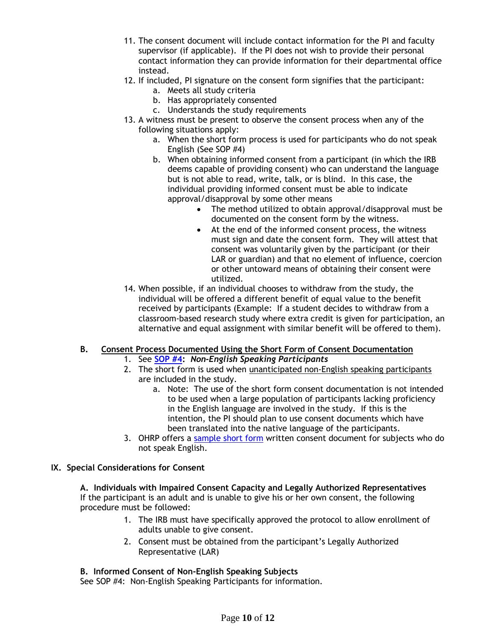- 11. The consent document will include contact information for the PI and faculty supervisor (if applicable). If the PI does not wish to provide their personal contact information they can provide information for their departmental office instead.
- 12. If included, PI signature on the consent form signifies that the participant:
	- a. Meets all study criteria
	- b. Has appropriately consented
	- c. Understands the study requirements
- 13. A witness must be present to observe the consent process when any of the following situations apply:
	- a. When the short form process is used for participants who do not speak English (See SOP #4)
	- b. When obtaining informed consent from a participant (in which the IRB deems capable of providing consent) who can understand the language but is not able to read, write, talk, or is blind. In this case, the individual providing informed consent must be able to indicate approval/disapproval by some other means
		- The method utilized to obtain approval/disapproval must be documented on the consent form by the witness.
		- At the end of the informed consent process, the witness must sign and date the consent form. They will attest that consent was voluntarily given by the participant (or their LAR or guardian) and that no element of influence, coercion or other untoward means of obtaining their consent were utilized.
- 14. When possible, if an individual chooses to withdraw from the study, the individual will be offered a different benefit of equal value to the benefit received by participants (Example: If a student decides to withdraw from a classroom-based research study where extra credit is given for participation, an alternative and equal assignment with similar benefit will be offered to them).

# **B. Consent Process Documented Using the Short Form of Consent Documentation**

- 1. See **[SOP #4:](https://uwosh.edu/sponsoredprograms/irb/sops/)** *Non-English Speaking Participants*
- 2. The short form is used when unanticipated non-English speaking participants are included in the study.
	- a. Note: The use of the short form consent documentation is not intended to be used when a large population of participants lacking proficiency in the English language are involved in the study. If this is the intention, the PI should plan to use consent documents which have been translated into the native language of the participants.
- 3. OHRP offers a [sample short form](http://www.hhs.gov/ohrp/regulations-and-policy/guidance/obtaining-and-documenting-infomed-consent-non-english-speakers/#sample) written consent document for subjects who do not speak English.

### **IX. Special Considerations for Consent**

**A. Individuals with Impaired Consent Capacity and Legally Authorized Representatives** If the participant is an adult and is unable to give his or her own consent, the following procedure must be followed:

- 1. The IRB must have specifically approved the protocol to allow enrollment of adults unable to give consent.
- 2. Consent must be obtained from the participant's Legally Authorized Representative (LAR)

### **B. Informed Consent of Non-English Speaking Subjects**

See SOP #4: Non-English Speaking Participants for information.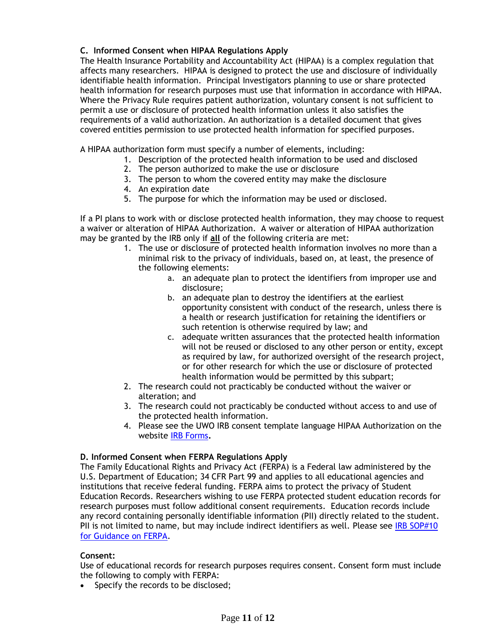# **C. Informed Consent when HIPAA Regulations Apply**

The Health Insurance Portability and Accountability Act (HIPAA) is a complex regulation that affects many researchers. HIPAA is designed to protect the use and disclosure of individually identifiable health information. Principal Investigators planning to use or share protected health information for research purposes must use that information in accordance with HIPAA. Where the Privacy Rule requires patient authorization, voluntary consent is not sufficient to permit a use or disclosure of protected health information unless it also satisfies the requirements of a valid authorization. An authorization is a detailed document that gives covered entities permission to use protected health information for specified purposes.

A HIPAA authorization form must specify a number of elements, including:

- 1. Description of the protected health information to be used and disclosed
- 2. The person authorized to make the use or disclosure
- 3. The person to whom the covered entity may make the disclosure
- 4. An expiration date
- 5. The purpose for which the information may be used or disclosed.

If a PI plans to work with or disclose protected health information, they may choose to request a waiver or alteration of HIPAA Authorization. A waiver or alteration of HIPAA authorization may be granted by the IRB only if **all** of the following criteria are met:

- 1. The use or disclosure of protected health information involves no more than a minimal risk to the privacy of individuals, based on, at least, the presence of the following elements:
	- a. an adequate plan to protect the identifiers from improper use and disclosure;
	- b. an adequate plan to destroy the identifiers at the earliest opportunity consistent with conduct of the research, unless there is a health or research justification for retaining the identifiers or such retention is otherwise required by law; and
	- c. adequate written assurances that the protected health information will not be reused or disclosed to any other person or entity, except as required by law, for authorized oversight of the research project, or for other research for which the use or disclosure of protected health information would be permitted by this subpart;
- 2. The research could not practicably be conducted without the waiver or alteration; and
- 3. The research could not practicably be conducted without access to and use of the protected health information.
- 4. Please see the UWO IRB consent template language HIPAA Authorization on the website [IRB Forms](https://uwosh.edu/sponsoredprograms/irb/forms/)**.**

### **D. Informed Consent when FERPA Regulations Apply**

The Family Educational Rights and Privacy Act (FERPA) is a Federal law administered by the U.S. Department of Education; 34 CFR Part 99 and applies to all educational agencies and institutions that receive federal funding. FERPA aims to protect the privacy of Student Education Records. Researchers wishing to use FERPA protected student education records for research purposes must follow additional consent requirements. Education records include any record containing personally identifiable information (PII) directly related to the student. PII is not limited to name, but may include indirect identifiers as well. Please see IRB SOP#10 [for Guidance on FERPA.](https://uwosh.edu/sponsoredprograms/irb/sops/)

#### **Consent:**

Use of educational records for research purposes requires consent. Consent form must include the following to comply with FERPA:

• Specify the records to be disclosed;